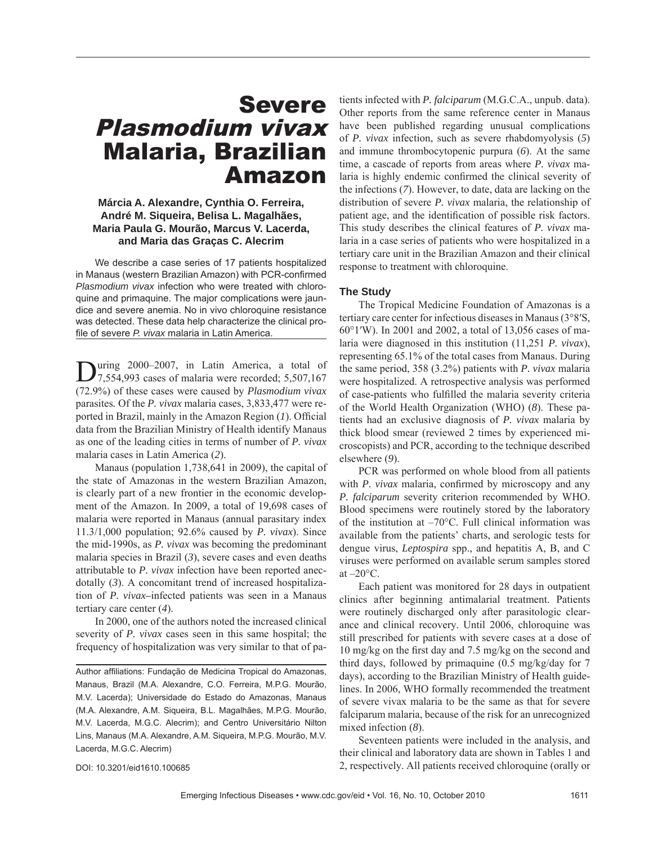# Severe Plasmodium vivax Malaria, Brazilian Amazon

# **Márcia A. Alexandre, Cynthia O. Ferreira, André M. Siqueira, Belisa L. Magalhães, Maria Paula G. Mourão, Marcus V. Lacerda, and Maria das Graças C. Alecrim**

We describe a case series of 17 patients hospitalized in Manaus (western Brazilian Amazon) with PCR-confirmed *Plasmodium vivax* infection who were treated with chloroquine and primaquine. The major complications were jaundice and severe anemia. No in vivo chloroquine resistance was detected. These data help characterize the clinical profile of severe *P. vivax* malaria in Latin America.

During 2000–2007, in Latin America, a total of 7,554,993 cases of malaria were recorded; 5,507,167 (72.9%) of these cases were caused by *Plasmodium vivax*  parasites*.* Of the *P. vivax* malaria cases, 3,833,477 were reported in Brazil, mainly in the Amazon Region (1). Official data from the Brazilian Ministry of Health identify Manaus as one of the leading cities in terms of number of *P. vivax* malaria cases in Latin America (*2*).

Manaus (population 1,738,641 in 2009), the capital of the state of Amazonas in the western Brazilian Amazon, is clearly part of a new frontier in the economic development of the Amazon. In 2009, a total of 19,698 cases of malaria were reported in Manaus (annual parasitary index 11.3/1,000 population; 92.6% caused by *P. vivax*). Since the mid-1990s, as *P. vivax* was becoming the predominant malaria species in Brazil (*3*), severe cases and even deaths attributable to *P. vivax* infection have been reported anecdotally (*3*). A concomitant trend of increased hospitalization of *P. vivax–*infected patients was seen in a Manaus tertiary care center (*4*).

In 2000, one of the authors noted the increased clinical severity of *P. vivax* cases seen in this same hospital; the frequency of hospitalization was very similar to that of patients infected with *P. falciparum* (M.G.C.A., unpub. data). Other reports from the same reference center in Manaus have been published regarding unusual complications of *P. vivax* infection, such as severe rhabdomyolysis (*5*) and immune thrombocytopenic purpura (*6*). At the same time, a cascade of reports from areas where *P. vivax* malaria is highly endemic confirmed the clinical severity of the infections (*7*). However, to date, data are lacking on the distribution of severe *P. vivax* malaria, the relationship of patient age, and the identification of possible risk factors. This study describes the clinical features of *P. vivax* malaria in a case series of patients who were hospitalized in a tertiary care unit in the Brazilian Amazon and their clinical response to treatment with chloroquine.

### **The Study**

The Tropical Medicine Foundation of Amazonas is a tertiary care center for infectious diseases in Manaus (3°8′S, 60°1′W). In 2001 and 2002, a total of 13,056 cases of malaria were diagnosed in this institution (11,251 *P. vivax*), representing 65.1% of the total cases from Manaus. During the same period, 358 (3.2%) patients with *P. vivax* malaria were hospitalized. A retrospective analysis was performed of case-patients who fulfilled the malaria severity criteria of the World Health Organization (WHO) (*8*). These patients had an exclusive diagnosis of *P. vivax* malaria by thick blood smear (reviewed 2 times by experienced microscopists) and PCR, according to the technique described elsewhere (*9*).

PCR was performed on whole blood from all patients with *P. vivax* malaria, confirmed by microscopy and any *P. falciparum* severity criterion recommended by WHO. Blood specimens were routinely stored by the laboratory of the institution at –70°C. Full clinical information was available from the patients' charts, and serologic tests for dengue virus, *Leptospira* spp., and hepatitis A, B, and C viruses were performed on available serum samples stored at  $-20$ °C.

Each patient was monitored for 28 days in outpatient clinics after beginning antimalarial treatment. Patients were routinely discharged only after parasitologic clearance and clinical recovery. Until 2006, chloroquine was still prescribed for patients with severe cases at a dose of  $10 \text{ mg/kg}$  on the first day and 7.5 mg/kg on the second and third days, followed by primaquine (0.5 mg/kg/day for 7 days), according to the Brazilian Ministry of Health guidelines. In 2006, WHO formally recommended the treatment of severe vivax malaria to be the same as that for severe falciparum malaria, because of the risk for an unrecognized mixed infection (*8*).

Seventeen patients were included in the analysis, and their clinical and laboratory data are shown in Tables 1 and 2, respectively. All patients received chloroquine (orally or

DOI: 10.3201/eid1610.100685

Author affiliations: Fundação de Medicina Tropical do Amazonas, Manaus, Brazil (M.A. Alexandre, C.O. Ferreira, M.P.G. Mourão, M.V. Lacerda); Universidade do Estado do Amazonas, Manaus (M.A. Alexandre, A.M. Siqueira, B.L. Magalhães, M.P.G. Mourão, M.V. Lacerda, M.G.C. Alecrim); and Centro Universitário Nilton Lins, Manaus (M.A. Alexandre, A.M. Siqueira, M.P.G. Mourão, M.V. Lacerda, M.G.C. Alecrim)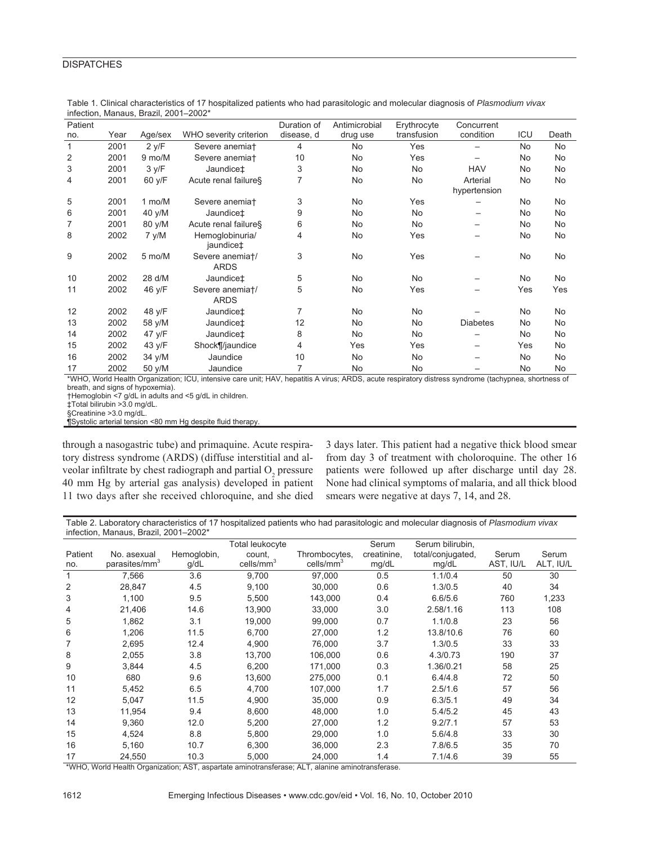| Patient      |      |                  |                                | Duration of | Antimicrobial | Erythrocyte | Concurrent               |           |           |
|--------------|------|------------------|--------------------------------|-------------|---------------|-------------|--------------------------|-----------|-----------|
| no.          | Year | Age/sex          | WHO severity criterion         | disease, d  | drug use      | transfusion | condition                | ICU       | Death     |
| $\mathbf{1}$ | 2001 | 2 y/F            | Severe anemiat                 | 4           | <b>No</b>     | Yes         |                          | <b>No</b> | No.       |
| 2            | 2001 | 9 mo/M           | Severe anemiat                 | 10          | No            | Yes         |                          | No        | No        |
| 3            | 2001 | 3 y/F            | Jaundice <sup>#</sup>          | 3           | <b>No</b>     | <b>No</b>   | <b>HAV</b>               | <b>No</b> | No        |
| 4            | 2001 | 60 y/F           | Acute renal failures           | 7           | No            | No          | Arterial<br>hypertension | <b>No</b> | No        |
| 5            | 2001 | $1 \text{ mo/M}$ | Severe anemiat                 | 3           | <b>No</b>     | Yes         |                          | <b>No</b> | <b>No</b> |
| 6            | 2001 | 40 y/M           | Jaundice <sup>+</sup>          | 9           | No            | <b>No</b>   |                          | <b>No</b> | No        |
| 7            | 2001 | 80 y/M           | Acute renal failures           | 6           | No            | No.         |                          | No        | No        |
| 8            | 2002 | 7 y/M            | Hemoglobinuria/<br>jaundice‡   | 4           | <b>No</b>     | Yes         |                          | <b>No</b> | No        |
| 9            | 2002 | 5 mo/M           | Severe anemiat/<br><b>ARDS</b> | 3           | No            | Yes         |                          | No        | No        |
| 10           | 2002 | 28 d/M           | Jaundice <sup>+</sup>          | 5           | <b>No</b>     | No.         |                          | No        | No        |
| 11           | 2002 | 46 y/F           | Severe anemiat/<br><b>ARDS</b> | 5           | <b>No</b>     | Yes         |                          | Yes       | Yes       |
| 12           | 2002 | 48 y/F           | Jaundice <sup>+</sup>          | 7           | <b>No</b>     | <b>No</b>   |                          | <b>No</b> | No        |
| 13           | 2002 | 58 y/M           | Jaundice <sup>+</sup>          | 12          | <b>No</b>     | <b>No</b>   | <b>Diabetes</b>          | <b>No</b> | No        |
| 14           | 2002 | 47 y/F           | Jaundice <sup>+</sup>          | 8           | No            | No          |                          | No        | No        |
| 15           | 2002 | 43 y/F           | Shock¶/jaundice                | 4           | Yes           | Yes         |                          | Yes       | No        |
| 16           | 2002 | 34 y/M           | Jaundice                       | 10          | No            | No          |                          | No        | No        |
| 17           | 2002 | 50 y/M           | Jaundice                       | 7           | No            | No          |                          | No        | No        |

Table 1. Clinical characteristics of 17 hospitalized patients who had parasitologic and molecular diagnosis of *Plasmodium vivax* infection, Manaus, Brazil, 2001–2002\*

\*WHO, World Health Organization; ICU, intensive care unit; HAV, hepatitis A virus; ARDS, acute respiratory distress syndrome (tachypnea, shortness of breath, and signs of hypoxemia).

†Hemoglobin <7 g/dL in adults and <5 g/dL in children.

‡Total bilirubin >3.0 mg/dL.

§Creatinine >3.0 mg/dL.

¶Systolic arterial tension <80 mm Hg despite fluid therapy.

through a nasogastric tube) and primaquine. Acute respiratory distress syndrome (ARDS) (diffuse interstitial and alveolar infiltrate by chest radiograph and partial  $O_2$  pressure 40 mm Hg by arterial gas analysis) developed in patient 11 two days after she received chloroquine, and she died

3 days later. This patient had a negative thick blood smear from day 3 of treatment with choloroquine. The other 16 patients were followed up after discharge until day 28. None had clinical symptoms of malaria, and all thick blood smears were negative at days 7, 14, and 28.

Table 2. Laboratory characteristics of 17 hospitalized patients who had parasitologic and molecular diagnosis of *Plasmodium vivax* infection, Manaus, Brazil, 2001–2002\*

|         |                           |             | Total leukocyte       |                       | Serum       | Serum bilirubin,  |           |           |
|---------|---------------------------|-------------|-----------------------|-----------------------|-------------|-------------------|-----------|-----------|
| Patient | No. asexual               | Hemoglobin, | count.                | Thrombocytes,         | creatinine, | total/conjugated, | Serum     | Serum     |
| no.     | parasites/mm <sup>3</sup> | g/dL        | cells/mm <sup>3</sup> | cells/mm <sup>3</sup> | mg/dL       | mg/dL             | AST, IU/L | ALT, IU/L |
| 1       | 7,566                     | 3.6         | 9,700                 | 97,000                | 0.5         | 1.1/0.4           | 50        | 30        |
| 2       | 28,847                    | 4.5         | 9,100                 | 30,000                | 0.6         | 1.3/0.5           | 40        | 34        |
| 3       | 1,100                     | 9.5         | 5,500                 | 143,000               | 0.4         | 6.6/5.6           | 760       | 1,233     |
| 4       | 21,406                    | 14.6        | 13,900                | 33,000                | 3.0         | 2.58/1.16         | 113       | 108       |
| 5       | 1,862                     | 3.1         | 19,000                | 99,000                | 0.7         | 1.1/0.8           | 23        | 56        |
| 6       | 1,206                     | 11.5        | 6,700                 | 27,000                | 1.2         | 13.8/10.6         | 76        | 60        |
| 7       | 2,695                     | 12.4        | 4,900                 | 76,000                | 3.7         | 1.3/0.5           | 33        | 33        |
| 8       | 2,055                     | 3.8         | 13.700                | 106.000               | 0.6         | 4.3/0.73          | 190       | 37        |
| 9       | 3,844                     | 4.5         | 6,200                 | 171,000               | 0.3         | 1.36/0.21         | 58        | 25        |
| 10      | 680                       | 9.6         | 13,600                | 275,000               | 0.1         | 6.4/4.8           | 72        | 50        |
| 11      | 5,452                     | 6.5         | 4,700                 | 107,000               | 1.7         | 2.5/1.6           | 57        | 56        |
| 12      | 5,047                     | 11.5        | 4,900                 | 35,000                | 0.9         | 6.3/5.1           | 49        | 34        |
| 13      | 11,954                    | 9.4         | 8,600                 | 48,000                | 1.0         | 5.4/5.2           | 45        | 43        |
| 14      | 9,360                     | 12.0        | 5,200                 | 27,000                | 1.2         | 9.2/7.1           | 57        | 53        |
| 15      | 4,524                     | 8.8         | 5,800                 | 29,000                | 1.0         | 5.6/4.8           | 33        | 30        |
| 16      | 5,160                     | 10.7        | 6,300                 | 36.000                | 2.3         | 7.8/6.5           | 35        | 70        |
| 17      | 24,550                    | 10.3        | 5,000                 | 24,000                | 1.4         | 7.1/4.6           | 39        | 55        |

\*WHO, World Health Organization; AST, aspartate aminotransferase; ALT, alanine aminotransferase.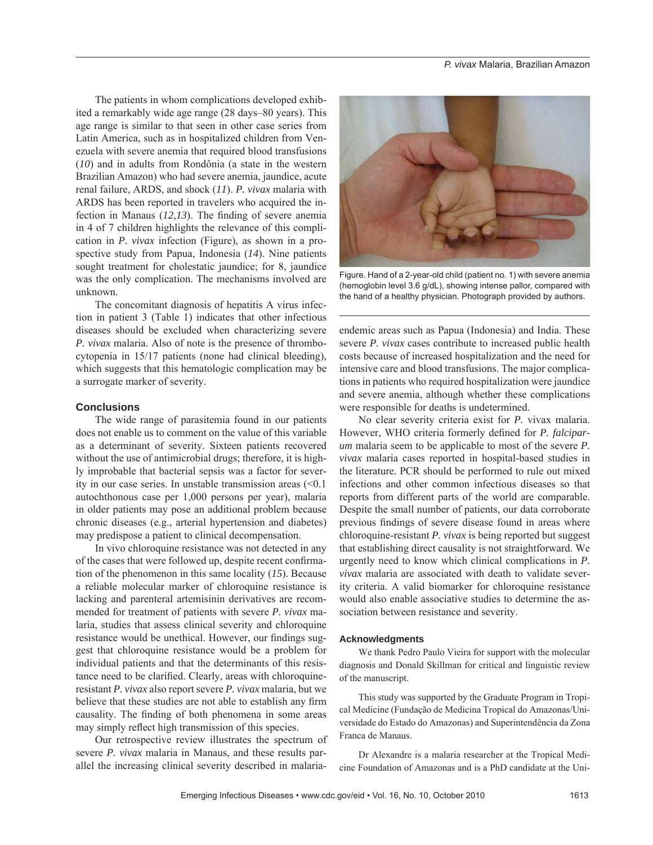The patients in whom complications developed exhibited a remarkably wide age range (28 days–80 years). This age range is similar to that seen in other case series from Latin America, such as in hospitalized children from Venezuela with severe anemia that required blood transfusions (*10*) and in adults from Rondônia (a state in the western Brazilian Amazon) who had severe anemia, jaundice, acute renal failure, ARDS, and shock (*11*). *P. vivax* malaria with ARDS has been reported in travelers who acquired the infection in Manaus  $(12,13)$ . The finding of severe anemia in 4 of 7 children highlights the relevance of this complication in *P. vivax* infection (Figure), as shown in a prospective study from Papua, Indonesia (*14*). Nine patients sought treatment for cholestatic jaundice; for 8, jaundice was the only complication. The mechanisms involved are unknown.

The concomitant diagnosis of hepatitis A virus infection in patient 3 (Table 1) indicates that other infectious diseases should be excluded when characterizing severe *P. vivax* malaria. Also of note is the presence of thrombocytopenia in 15/17 patients (none had clinical bleeding), which suggests that this hematologic complication may be a surrogate marker of severity.

# **Conclusions**

The wide range of parasitemia found in our patients does not enable us to comment on the value of this variable as a determinant of severity. Sixteen patients recovered without the use of antimicrobial drugs; therefore, it is highly improbable that bacterial sepsis was a factor for severity in our case series. In unstable transmission areas (<0.1 autochthonous case per 1,000 persons per year), malaria in older patients may pose an additional problem because chronic diseases (e.g., arterial hypertension and diabetes) may predispose a patient to clinical decompensation.

In vivo chloroquine resistance was not detected in any of the cases that were followed up, despite recent confirmation of the phenomenon in this same locality (*15*). Because a reliable molecular marker of chloroquine resistance is lacking and parenteral artemisinin derivatives are recommended for treatment of patients with severe *P. vivax* malaria, studies that assess clinical severity and chloroquine resistance would be unethical. However, our findings suggest that chloroquine resistance would be a problem for individual patients and that the determinants of this resistance need to be clarified. Clearly, areas with chloroquineresistant *P. vivax* also report severe *P. vivax* malaria, but we believe that these studies are not able to establish any firm causality. The finding of both phenomena in some areas may simply reflect high transmission of this species.

Our retrospective review illustrates the spectrum of severe *P. vivax* malaria in Manaus, and these results parallel the increasing clinical severity described in malaria-



Figure. Hand of a 2-year-old child (patient no. 1) with severe anemia (hemoglobin level 3.6 g/dL), showing intense pallor, compared with the hand of a healthy physician. Photograph provided by authors.

endemic areas such as Papua (Indonesia) and India. These severe *P. vivax* cases contribute to increased public health costs because of increased hospitalization and the need for intensive care and blood transfusions. The major complications in patients who required hospitalization were jaundice and severe anemia, although whether these complications were responsible for deaths is undetermined.

No clear severity criteria exist for *P.* vivax malaria. However, WHO criteria formerly defined for *P. falciparum* malaria seem to be applicable to most of the severe *P. vivax* malaria cases reported in hospital-based studies in the literature. PCR should be performed to rule out mixed infections and other common infectious diseases so that reports from different parts of the world are comparable. Despite the small number of patients, our data corroborate previous findings of severe disease found in areas where chloroquine-resistant *P. vivax* is being reported but suggest that establishing direct causality is not straightforward. We urgently need to know which clinical complications in *P. vivax* malaria are associated with death to validate severity criteria. A valid biomarker for chloroquine resistance would also enable associative studies to determine the association between resistance and severity.

#### **Acknowledgments**

We thank Pedro Paulo Vieira for support with the molecular diagnosis and Donald Skillman for critical and linguistic review of the manuscript.

This study was supported by the Graduate Program in Tropical Medicine (Fundação de Medicina Tropical do Amazonas/Universidade do Estado do Amazonas) and Superintendência da Zona Franca de Manaus.

Dr Alexandre is a malaria researcher at the Tropical Medicine Foundation of Amazonas and is a PhD candidate at the Uni-